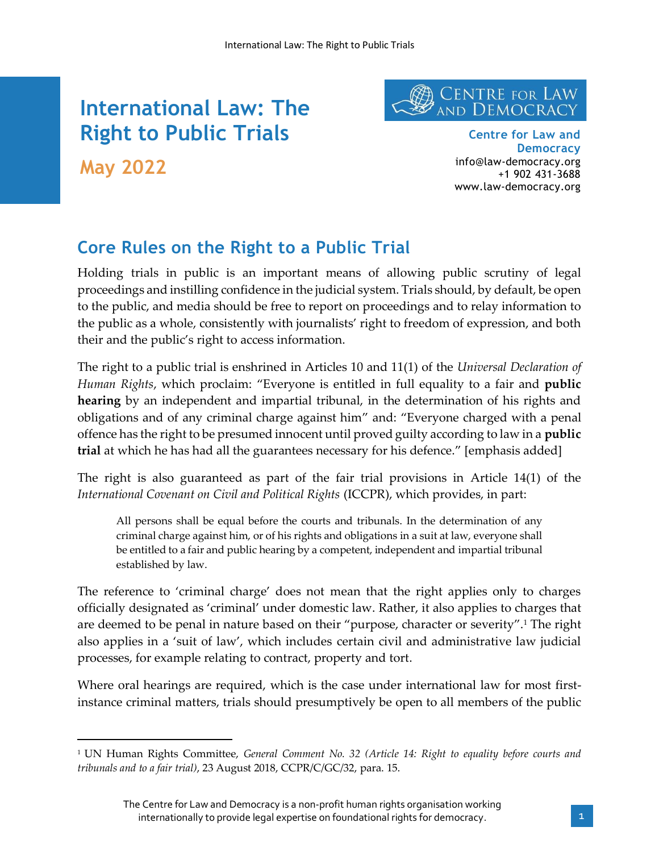# **International Law: The Right to Public Trials May 2022**



**Centre for Law and Democracy** info@law-democracy.org +1 902 431-3688 www.law-democracy.org

## **Core Rules on the Right to a Public Trial**

Holding trials in public is an important means of allowing public scrutiny of legal proceedings and instilling confidence in the judicial system. Trials should, by default, be open to the public, and media should be free to report on proceedings and to relay information to the public as a whole, consistently with journalists' right to freedom of expression, and both their and the public's right to access information.

The right to a public trial is enshrined in Articles 10 and 11(1) of the *Universal Declaration of Human Rights*, which proclaim: "Everyone is entitled in full equality to a fair and **public hearing** by an independent and impartial tribunal, in the determination of his rights and obligations and of any criminal charge against him" and: "Everyone charged with a penal offence has the right to be presumed innocent until proved guilty according to law in a **public trial** at which he has had all the guarantees necessary for his defence." [emphasis added]

The right is also guaranteed as part of the fair trial provisions in Article 14(1) of the *International Covenant on Civil and Political Rights* (ICCPR), which provides, in part:

All persons shall be equal before the courts and tribunals. In the determination of any criminal charge against him, or of his rights and obligations in a suit at law, everyone shall be entitled to a fair and public hearing by a competent, independent and impartial tribunal established by law.

The reference to 'criminal charge' does not mean that the right applies only to charges officially designated as 'criminal' under domestic law. Rather, it also applies to charges that are deemed to be penal in nature based on their "purpose, character or severity".<sup>1</sup> The right also applies in a 'suit of law', which includes certain civil and administrative law judicial processes, for example relating to contract, property and tort.

Where oral hearings are required, which is the case under international law for most firstinstance criminal matters, trials should presumptively be open to all members of the public

<sup>1</sup> UN Human Rights Committee, *General Comment No. 32 (Article 14: Right to equality before courts and tribunals and to a fair trial)*, 23 August 2018, CCPR/C/GC/32, para. 15.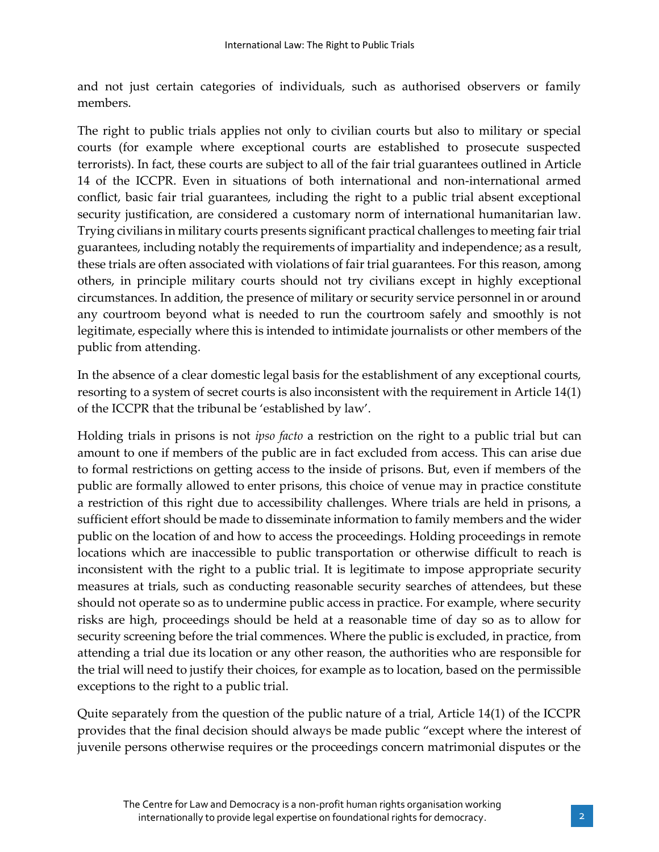and not just certain categories of individuals, such as authorised observers or family members.

The right to public trials applies not only to civilian courts but also to military or special courts (for example where exceptional courts are established to prosecute suspected terrorists). In fact, these courts are subject to all of the fair trial guarantees outlined in Article 14 of the ICCPR. Even in situations of both international and non-international armed conflict, basic fair trial guarantees, including the right to a public trial absent exceptional security justification, are considered a customary norm of international humanitarian law. Trying civilians in military courts presents significant practical challenges to meeting fair trial guarantees, including notably the requirements of impartiality and independence; as a result, these trials are often associated with violations of fair trial guarantees. For this reason, among others, in principle military courts should not try civilians except in highly exceptional circumstances. In addition, the presence of military or security service personnel in or around any courtroom beyond what is needed to run the courtroom safely and smoothly is not legitimate, especially where this is intended to intimidate journalists or other members of the public from attending.

In the absence of a clear domestic legal basis for the establishment of any exceptional courts, resorting to a system of secret courts is also inconsistent with the requirement in Article 14(1) of the ICCPR that the tribunal be 'established by law'.

Holding trials in prisons is not *ipso facto* a restriction on the right to a public trial but can amount to one if members of the public are in fact excluded from access. This can arise due to formal restrictions on getting access to the inside of prisons. But, even if members of the public are formally allowed to enter prisons, this choice of venue may in practice constitute a restriction of this right due to accessibility challenges. Where trials are held in prisons, a sufficient effort should be made to disseminate information to family members and the wider public on the location of and how to access the proceedings. Holding proceedings in remote locations which are inaccessible to public transportation or otherwise difficult to reach is inconsistent with the right to a public trial. It is legitimate to impose appropriate security measures at trials, such as conducting reasonable security searches of attendees, but these should not operate so as to undermine public access in practice. For example, where security risks are high, proceedings should be held at a reasonable time of day so as to allow for security screening before the trial commences. Where the public is excluded, in practice, from attending a trial due its location or any other reason, the authorities who are responsible for the trial will need to justify their choices, for example as to location, based on the permissible exceptions to the right to a public trial.

Quite separately from the question of the public nature of a trial, Article 14(1) of the ICCPR provides that the final decision should always be made public "except where the interest of juvenile persons otherwise requires or the proceedings concern matrimonial disputes or the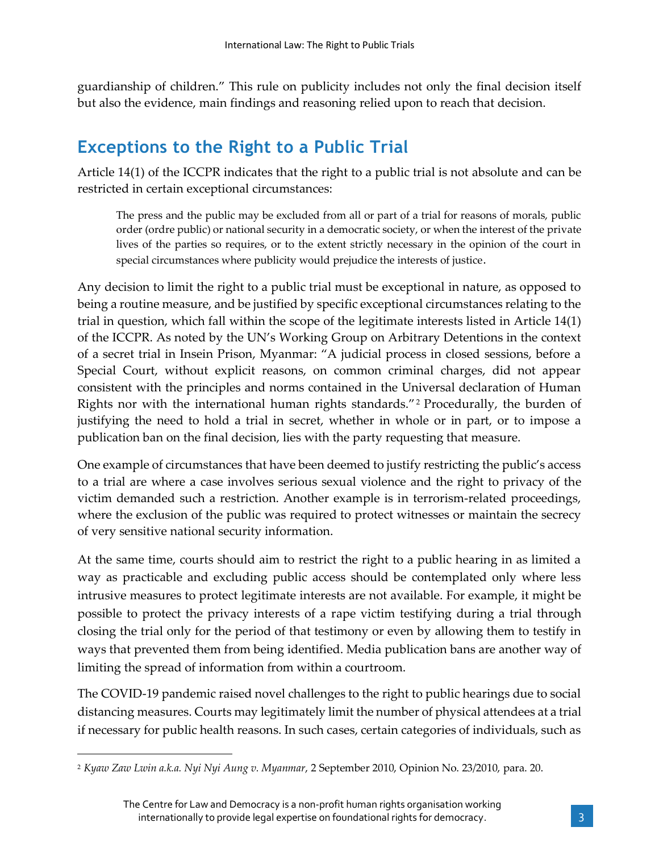guardianship of children." This rule on publicity includes not only the final decision itself but also the evidence, main findings and reasoning relied upon to reach that decision.

### **Exceptions to the Right to a Public Trial**

Article 14(1) of the ICCPR indicates that the right to a public trial is not absolute and can be restricted in certain exceptional circumstances:

The press and the public may be excluded from all or part of a trial for reasons of morals, public order (ordre public) or national security in a democratic society, or when the interest of the private lives of the parties so requires, or to the extent strictly necessary in the opinion of the court in special circumstances where publicity would prejudice the interests of justice.

Any decision to limit the right to a public trial must be exceptional in nature, as opposed to being a routine measure, and be justified by specific exceptional circumstances relating to the trial in question, which fall within the scope of the legitimate interests listed in Article 14(1) of the ICCPR. As noted by the UN's Working Group on Arbitrary Detentions in the context of a secret trial in Insein Prison, Myanmar: "A judicial process in closed sessions, before a Special Court, without explicit reasons, on common criminal charges, did not appear consistent with the principles and norms contained in the Universal declaration of Human Rights nor with the international human rights standards."<sup>2</sup> Procedurally, the burden of justifying the need to hold a trial in secret, whether in whole or in part, or to impose a publication ban on the final decision, lies with the party requesting that measure.

One example of circumstances that have been deemed to justify restricting the public's access to a trial are where a case involves serious sexual violence and the right to privacy of the victim demanded such a restriction. Another example is in terrorism-related proceedings, where the exclusion of the public was required to protect witnesses or maintain the secrecy of very sensitive national security information.

At the same time, courts should aim to restrict the right to a public hearing in as limited a way as practicable and excluding public access should be contemplated only where less intrusive measures to protect legitimate interests are not available. For example, it might be possible to protect the privacy interests of a rape victim testifying during a trial through closing the trial only for the period of that testimony or even by allowing them to testify in ways that prevented them from being identified. Media publication bans are another way of limiting the spread of information from within a courtroom.

The COVID-19 pandemic raised novel challenges to the right to public hearings due to social distancing measures. Courts may legitimately limit the number of physical attendees at a trial if necessary for public health reasons. In such cases, certain categories of individuals, such as

<sup>2</sup> *Kyaw Zaw Lwin a.k.a. Nyi Nyi Aung v. Myanmar*, 2 September 2010, Opinion No. 23/2010, para. 20.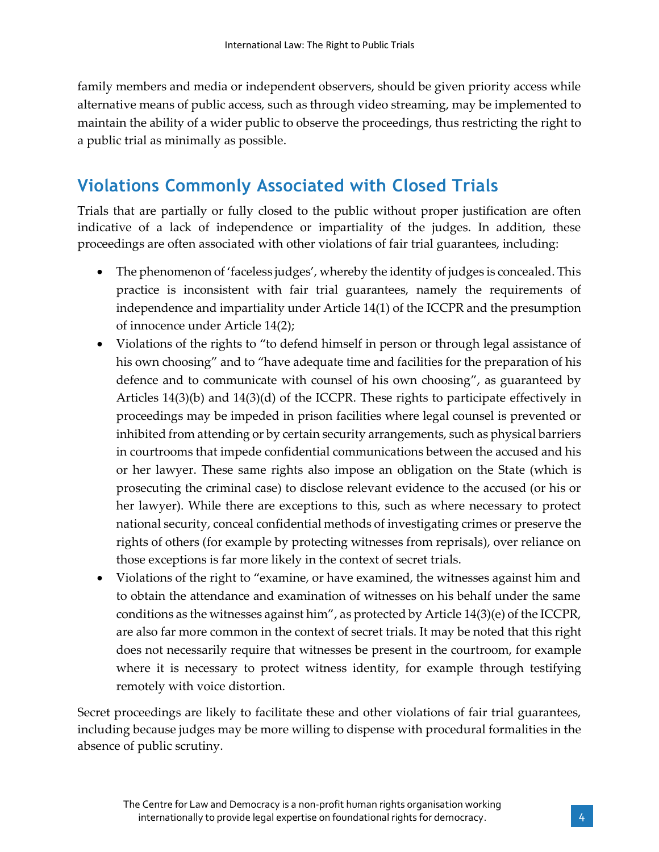family members and media or independent observers, should be given priority access while alternative means of public access, such as through video streaming, may be implemented to maintain the ability of a wider public to observe the proceedings, thus restricting the right to a public trial as minimally as possible.

### **Violations Commonly Associated with Closed Trials**

Trials that are partially or fully closed to the public without proper justification are often indicative of a lack of independence or impartiality of the judges. In addition, these proceedings are often associated with other violations of fair trial guarantees, including:

- The phenomenon of 'faceless judges', whereby the identity of judges is concealed. This practice is inconsistent with fair trial guarantees, namely the requirements of independence and impartiality under Article 14(1) of the ICCPR and the presumption of innocence under Article 14(2);
- Violations of the rights to "to defend himself in person or through legal assistance of his own choosing" and to "have adequate time and facilities for the preparation of his defence and to communicate with counsel of his own choosing", as guaranteed by Articles 14(3)(b) and 14(3)(d) of the ICCPR. These rights to participate effectively in proceedings may be impeded in prison facilities where legal counsel is prevented or inhibited from attending or by certain security arrangements, such as physical barriers in courtrooms that impede confidential communications between the accused and his or her lawyer. These same rights also impose an obligation on the State (which is prosecuting the criminal case) to disclose relevant evidence to the accused (or his or her lawyer). While there are exceptions to this, such as where necessary to protect national security, conceal confidential methods of investigating crimes or preserve the rights of others (for example by protecting witnesses from reprisals), over reliance on those exceptions is far more likely in the context of secret trials.
- Violations of the right to "examine, or have examined, the witnesses against him and to obtain the attendance and examination of witnesses on his behalf under the same conditions as the witnesses against him", as protected by Article 14(3)(e) of the ICCPR, are also far more common in the context of secret trials. It may be noted that this right does not necessarily require that witnesses be present in the courtroom, for example where it is necessary to protect witness identity, for example through testifying remotely with voice distortion.

Secret proceedings are likely to facilitate these and other violations of fair trial guarantees, including because judges may be more willing to dispense with procedural formalities in the absence of public scrutiny.